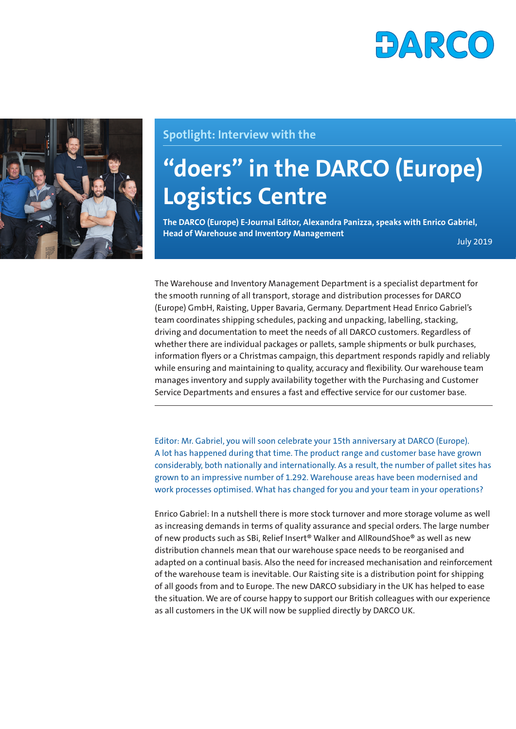



## **Spotlight: Interview with the**

# **"doers" in the DARCO (Europe) Logistics Centre**

**The DARCO (Europe) E-Journal Editor, Alexandra Panizza, speaks with Enrico Gabriel, Head of Warehouse and Inventory Management** July 2019

The Warehouse and Inventory Management Department is a specialist department for the smooth running of all transport, storage and distribution processes for DARCO (Europe) GmbH, Raisting, Upper Bavaria, Germany. Department Head Enrico Gabriel's team coordinates shipping schedules, packing and unpacking, labelling, stacking, driving and documentation to meet the needs of all DARCO customers. Regardless of whether there are individual packages or pallets, sample shipments or bulk purchases, information flyers or a Christmas campaign, this department responds rapidly and reliably while ensuring and maintaining to quality, accuracy and flexibility. Our warehouse team manages inventory and supply availability together with the Purchasing and Customer Service Departments and ensures a fast and effective service for our customer base.

Editor: Mr. Gabriel, you will soon celebrate your 15th anniversary at DARCO (Europe). A lot has happened during that time. The product range and customer base have grown considerably, both nationally and internationally. As a result, the number of pallet sites has grown to an impressive number of 1.292. Warehouse areas have been modernised and work processes optimised. What has changed for you and your team in your operations?

Enrico Gabriel: In a nutshell there is more stock turnover and more storage volume as well as increasing demands in terms of quality assurance and special orders. The large number of new products such as SBi, Relief Insert® Walker and AllRoundShoe® as well as new distribution channels mean that our warehouse space needs to be reorganised and adapted on a continual basis. Also the need for increased mechanisation and reinforcement of the warehouse team is inevitable. Our Raisting site is a distribution point for shipping of all goods from and to Europe. The new DARCO subsidiary in the UK has helped to ease the situation. We are of course happy to support our British colleagues with our experience as all customers in the UK will now be supplied directly by DARCO UK.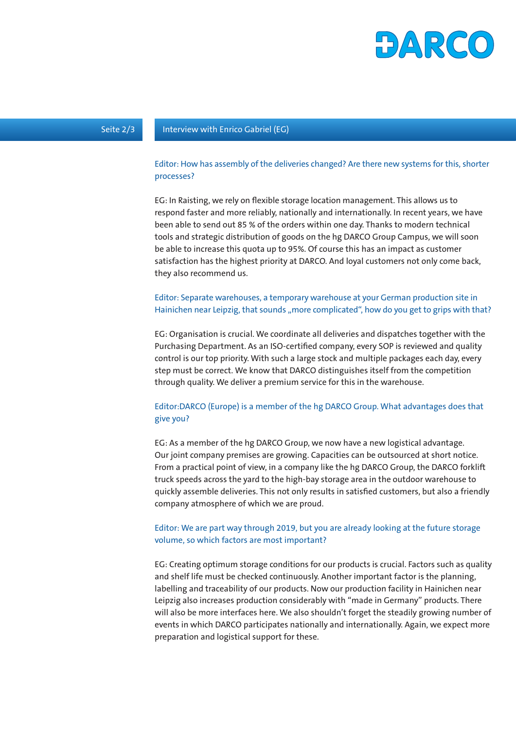

#### Seite 2/3 Interview with Enrico Gabriel (EG)

#### Editor: How has assembly of the deliveries changed? Are there new systems for this, shorter processes?

EG: In Raisting, we rely on flexible storage location management. This allows us to respond faster and more reliably, nationally and internationally. In recent years, we have been able to send out 85 % of the orders within one day. Thanks to modern technical tools and strategic distribution of goods on the hg DARCO Group Campus, we will soon be able to increase this quota up to 95%. Of course this has an impact as customer satisfaction has the highest priority at DARCO. And loyal customers not only come back, they also recommend us.

#### Editor: Separate warehouses, a temporary warehouse at your German production site in Hainichen near Leipzig, that sounds "more complicated", how do you get to grips with that?

EG: Organisation is crucial. We coordinate all deliveries and dispatches together with the Purchasing Department. As an ISO-certified company, every SOP is reviewed and quality control is our top priority. With such a large stock and multiple packages each day, every step must be correct. We know that DARCO distinguishes itself from the competition through quality. We deliver a premium service for this in the warehouse.

### Editor:DARCO (Europe) is a member of the hg DARCO Group. What advantages does that give you?

EG: As a member of the hg DARCO Group, we now have a new logistical advantage. Our joint company premises are growing. Capacities can be outsourced at short notice. From a practical point of view, in a company like the hg DARCO Group, the DARCO forklift truck speeds across the yard to the high-bay storage area in the outdoor warehouse to quickly assemble deliveries. This not only results in satisfied customers, but also a friendly company atmosphere of which we are proud.

#### Editor: We are part way through 2019, but you are already looking at the future storage volume, so which factors are most important?

EG: Creating optimum storage conditions for our products is crucial. Factors such as quality and shelf life must be checked continuously. Another important factor is the planning, labelling and traceability of our products. Now our production facility in Hainichen near Leipzig also increases production considerably with "made in Germany" products. There will also be more interfaces here. We also shouldn't forget the steadily growing number of events in which DARCO participates nationally and internationally. Again, we expect more preparation and logistical support for these.